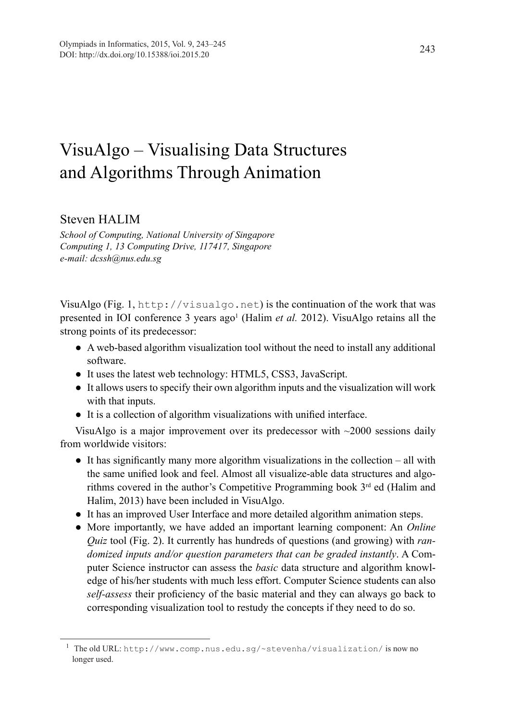## VisuAlgo – Visualising Data Structures and Algorithms Through Animation

## Steven HALIM

*School of Computing, National University of Singapore Computing 1, 13 Computing Drive, 117417, Singapore e-mail: dcssh@nus.edu.sg*

VisuAlgo (Fig. 1, http://visualgo.net) is the continuation of the work that was presented in IOI conference 3 years ago<sup>1</sup> (Halim *et al.* 2012). VisuAlgo retains all the strong points of its predecessor:

- A web-based algorithm visualization tool without the need to install any additional software.
- It uses the latest web technology: HTML5, CSS3, JavaScript.
- It allows users to specify their own algorithm inputs and the visualization will work with that inputs.
- It is a collection of algorithm visualizations with unified interface.

VisuAlgo is a major improvement over its predecessor with  $\sim$ 2000 sessions daily from worldwide visitors:

- $\bullet$  It has significantly many more algorithm visualizations in the collection all with the same unified look and feel. Almost all visualize-able data structures and algorithms covered in the author's Competitive Programming book 3rd ed (Halim and Halim, 2013) have been included in VisuAlgo.
- It has an improved User Interface and more detailed algorithm animation steps.
- More importantly, we have added an important learning component: An *Online Quiz* tool (Fig. 2). It currently has hundreds of questions (and growing) with *randomized inputs and/or question parameters that can be graded instantly*. A Computer Science instructor can assess the *basic* data structure and algorithm knowledge of his/her students with much less effort. Computer Science students can also *self-assess* their proficiency of the basic material and they can always go back to corresponding visualization tool to restudy the concepts if they need to do so.

 $1$  The old URL: http://www.comp.nus.edu.sg/~stevenha/visualization/ is now no longer used.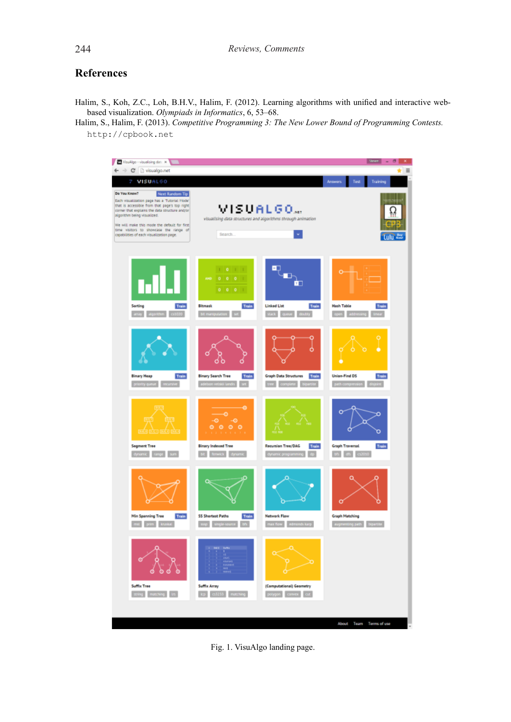## **References**

Halim, S., Koh, Z.C., Loh, B.H.V., Halim, F. (2012). Learning algorithms with unified and interactive webbased visualization. *Olympiads in Informatics*, 6, 53–68.

Halim, S., Halim, F. (2013). *Competitive Programming 3: The New Lower Bound of Programming Contests.* http://cpbook.net



Fig. 1. VisuAlgo landing page.